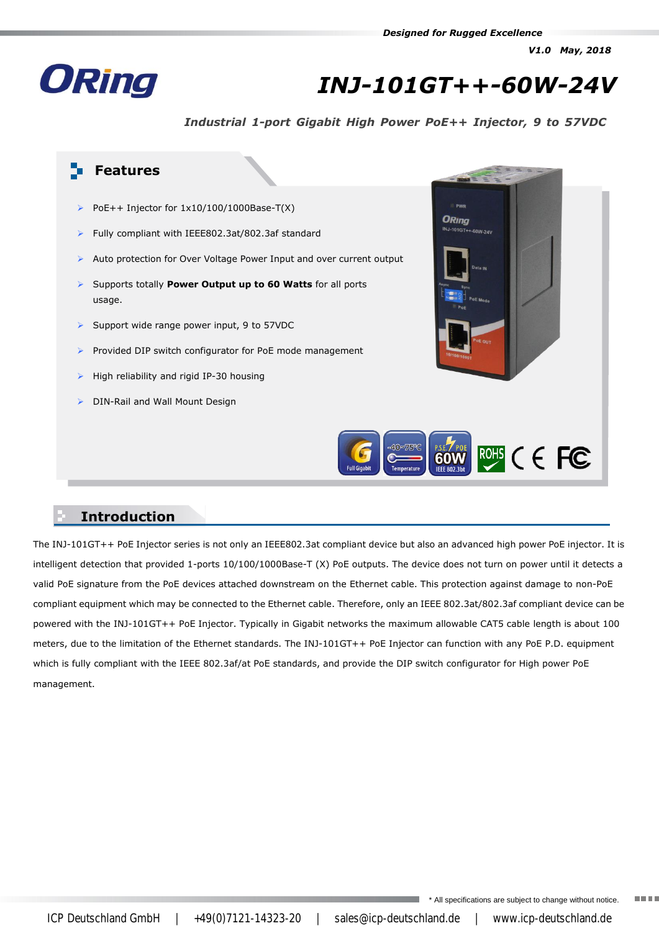*V1.0 May, 2018*



# *INJ-101GT++-60W-24V*

*Industrial 1-port Gigabit High Power PoE++ Injector, 9 to 57VDC*



#### **Introduction**

The INJ-101GT++ PoE Injector series is not only an IEEE802.3at compliant device but also an advanced high power PoE injector. It is intelligent detection that provided 1-ports 10/100/1000Base-T (X) PoE outputs. The device does not turn on power until it detects a valid PoE signature from the PoE devices attached downstream on the Ethernet cable. This protection against damage to non-PoE compliant equipment which may be connected to the Ethernet cable. Therefore, only an IEEE 802.3at/802.3af compliant device can be powered with the INJ-101GT++ PoE Injector. Typically in Gigabit networks the maximum allowable CAT5 cable length is about 100 meters, due to the limitation of the Ethernet standards. The INJ-101GT++ PoE Injector can function with any PoE P.D. equipment which is fully compliant with the IEEE 802.3af/at PoE standards, and provide the DIP switch configurator for High power PoE management.

\* All specifications are subject to change without notice.

**TELE** 

ICP Deutschland GmbH | +49(0)7121-14323-20 | sales@icp-deutschland.de | www.icp-deutschland.de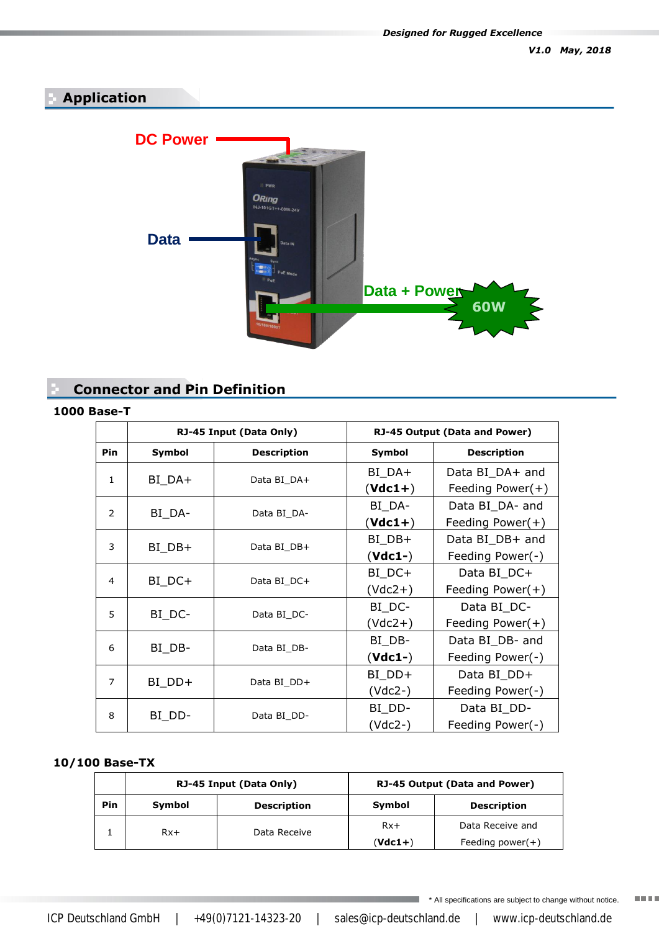### **Application**



### **Connector and Pin Definition**

#### **1000 Base-T**

|                | RJ-45 Input (Data Only)          |                    | RJ-45 Output (Data and Power)    |                     |  |
|----------------|----------------------------------|--------------------|----------------------------------|---------------------|--|
| Pin            | Symbol                           | <b>Description</b> | Symbol                           | <b>Description</b>  |  |
| 1              |                                  | Data BI DA+        | $BI$ <sub><math>DA+</math></sub> | Data BI_DA+ and     |  |
|                | $BI$ <sub><math>DA+</math></sub> |                    | $(Vdc1+)$                        | Feeding Power(+)    |  |
| 2              | BI_DA-                           | Data BI DA-        | BI_DA-                           | Data BI DA- and     |  |
|                |                                  |                    | $(Vdc1+)$                        | Feeding Power(+)    |  |
| 3              | $BI$ <sub><math>DB</math>+</sub> | Data BI DB+        | BI_DB+                           | Data BI_DB+ and     |  |
|                |                                  |                    | $(Vdc1-)$                        | Feeding Power(-)    |  |
| 4              | $BI\_DC+$                        | Data BI DC+        | BI_DC+                           | Data BI_DC+         |  |
|                |                                  |                    | $(Vdc2+)$                        | Feeding Power $(+)$ |  |
| 5              | BI_DC-                           | Data BI_DC-        | BI_DC-                           | Data BI_DC-         |  |
|                |                                  |                    | $(Vdc2+)$                        | Feeding Power(+)    |  |
| 6              | BI_DB-                           | Data BI DB-        | BI_DB-                           | Data BI_DB- and     |  |
|                |                                  |                    | $(Vdc1-)$                        | Feeding Power(-)    |  |
| $\overline{7}$ | $BI_DDP +$                       | Data BI DD+        | BI_DD+                           | Data BI_DD+         |  |
|                |                                  |                    | (Vdc2-)                          | Feeding Power(-)    |  |
| 8              | BI_DD-                           | Data BI DD-        | BI_DD-                           | Data BI_DD-         |  |
|                |                                  |                    | $(Vdc2-)$                        | Feeding Power(-)    |  |

#### **10/100 Base-TX**

|     | RJ-45 Input (Data Only)      |              | RJ-45 Output (Data and Power) |                     |  |
|-----|------------------------------|--------------|-------------------------------|---------------------|--|
| Pin | <b>Description</b><br>Symbol |              | Symbol                        | <b>Description</b>  |  |
|     | $Rx+$                        | Data Receive | $Rx+$                         | Data Receive and    |  |
|     |                              |              | $(Vdc1+)$                     | Feeding power $(+)$ |  |

\* All specifications are subject to change without notice. **TELE** 

a,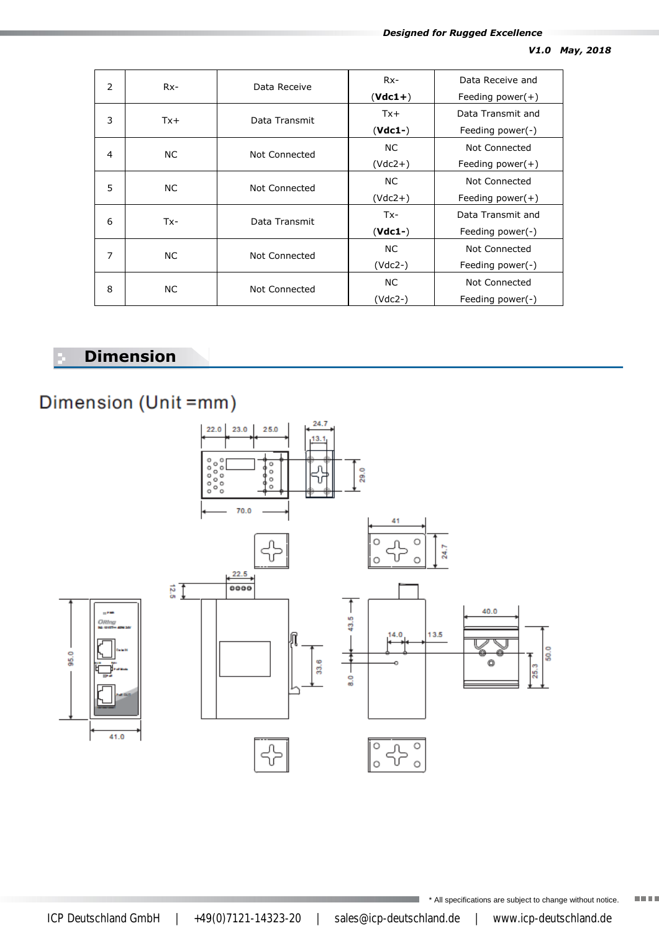| 2              | $Rx-$  | Data Receive  | $Rx-$     | Data Receive and    |
|----------------|--------|---------------|-----------|---------------------|
|                |        |               | $(Vdc1+)$ | Feeding power $(+)$ |
| 3              | $Tx +$ | Data Transmit | $Tx +$    | Data Transmit and   |
|                |        |               | $(Vdc1-)$ | Feeding power $(-)$ |
| 4              | NC.    | Not Connected | NC.       | Not Connected       |
|                |        |               | $(Vdc2+)$ | Feeding power $(+)$ |
| 5              | NC.    | Not Connected | NC.       | Not Connected       |
|                |        |               | $(Vdc2+)$ | Feeding power $(+)$ |
| 6              | Tx-    | Data Transmit | $Tx -$    | Data Transmit and   |
|                |        |               | $(Vdc1-)$ | Feeding power(-)    |
| $\overline{7}$ | NC.    | Not Connected | NC.       | Not Connected       |
|                |        |               | $(Vdc2-)$ | Feeding power $(-)$ |
| 8              | NC.    | Not Connected | NC.       | Not Connected       |
|                |        |               | (Vdc2-)   | Feeding power $(-)$ |

## **Dimension**

95.0

## Dimension (Unit =mm)



ICP Deutschland GmbH | +49(0)7121-14323-20 | sales@icp-deutschland.de | www.icp-deutschland.de

\* All specifications are subject to change without notice.

**HELL**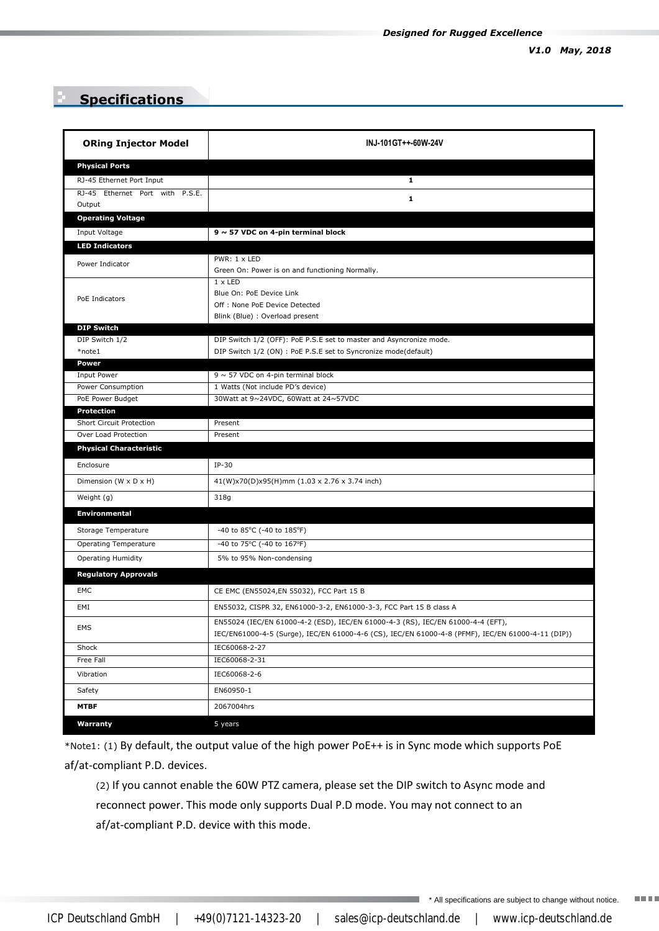### **Specifications**

| <b>ORing Injector Model</b>               | INJ-101GT++-60W-24V                                                                                                                                                                  |  |  |  |
|-------------------------------------------|--------------------------------------------------------------------------------------------------------------------------------------------------------------------------------------|--|--|--|
| <b>Physical Ports</b>                     |                                                                                                                                                                                      |  |  |  |
| RJ-45 Ethernet Port Input                 | $\mathbf{1}$                                                                                                                                                                         |  |  |  |
| RJ-45 Ethernet Port with P.S.E.<br>Output | 1                                                                                                                                                                                    |  |  |  |
| <b>Operating Voltage</b>                  |                                                                                                                                                                                      |  |  |  |
| Input Voltage                             | $9 \sim 57$ VDC on 4-pin terminal block                                                                                                                                              |  |  |  |
| <b>LED Indicators</b>                     |                                                                                                                                                                                      |  |  |  |
| Power Indicator                           | PWR: 1 x LED<br>Green On: Power is on and functioning Normally.                                                                                                                      |  |  |  |
| PoE Indicators                            | $1 \times$ LED<br>Blue On: PoE Device Link<br>Off: None PoE Device Detected<br>Blink (Blue) : Overload present                                                                       |  |  |  |
| <b>DIP Switch</b>                         |                                                                                                                                                                                      |  |  |  |
| DIP Switch 1/2<br>*note1                  | DIP Switch 1/2 (OFF): PoE P.S.E set to master and Asyncronize mode.<br>DIP Switch 1/2 (ON) : PoE P.S.E set to Syncronize mode(default)                                               |  |  |  |
| <b>Power</b>                              |                                                                                                                                                                                      |  |  |  |
| Input Power<br>Power Consumption          | $9 \sim 57$ VDC on 4-pin terminal block<br>1 Watts (Not include PD's device)                                                                                                         |  |  |  |
| PoE Power Budget                          | 30Watt at 9~24VDC, 60Watt at 24~57VDC                                                                                                                                                |  |  |  |
| Protection                                |                                                                                                                                                                                      |  |  |  |
| Short Circuit Protection                  | Present                                                                                                                                                                              |  |  |  |
| Over Load Protection                      | Present                                                                                                                                                                              |  |  |  |
| <b>Physical Characteristic</b>            |                                                                                                                                                                                      |  |  |  |
| Enclosure                                 | $IP-30$                                                                                                                                                                              |  |  |  |
| Dimension (W x D x H)                     | 41(W)x70(D)x95(H)mm (1.03 x 2.76 x 3.74 inch)                                                                                                                                        |  |  |  |
| Weight (g)                                | 318g                                                                                                                                                                                 |  |  |  |
| <b>Environmental</b>                      |                                                                                                                                                                                      |  |  |  |
| Storage Temperature                       | -40 to 85°C (-40 to 185°F)                                                                                                                                                           |  |  |  |
| <b>Operating Temperature</b>              | -40 to 75°C (-40 to 167°F)                                                                                                                                                           |  |  |  |
| <b>Operating Humidity</b>                 | 5% to 95% Non-condensing                                                                                                                                                             |  |  |  |
| <b>Regulatory Approvals</b>               |                                                                                                                                                                                      |  |  |  |
| EMC                                       | CE EMC (EN55024,EN 55032), FCC Part 15 B                                                                                                                                             |  |  |  |
| EMI                                       | EN55032, CISPR 32, EN61000-3-2, EN61000-3-3, FCC Part 15 B class A                                                                                                                   |  |  |  |
| EMS                                       | EN55024 (IEC/EN 61000-4-2 (ESD), IEC/EN 61000-4-3 (RS), IEC/EN 61000-4-4 (EFT),<br>IEC/EN61000-4-5 (Surge), IEC/EN 61000-4-6 (CS), IEC/EN 61000-4-8 (PFMF), IEC/EN 61000-4-11 (DIP)) |  |  |  |
| Shock                                     | IEC60068-2-27                                                                                                                                                                        |  |  |  |
| Free Fall                                 | IEC60068-2-31                                                                                                                                                                        |  |  |  |
| Vibration                                 | IEC60068-2-6                                                                                                                                                                         |  |  |  |
| Safety                                    | EN60950-1                                                                                                                                                                            |  |  |  |
| <b>MTBF</b>                               | 2067004hrs                                                                                                                                                                           |  |  |  |
| Warranty                                  | 5 years                                                                                                                                                                              |  |  |  |

\*Note1: (1) By default, the output value of the high power PoE++ is in Sync mode which supports PoE af/at-compliant P.D. devices.

(2) If you cannot enable the 60W PTZ camera, please set the DIP switch to Async mode and reconnect power. This mode only supports Dual P.D mode. You may not connect to an af/at-compliant P.D. device with this mode.

\* All specifications are subject to change without notice.

**TELE**